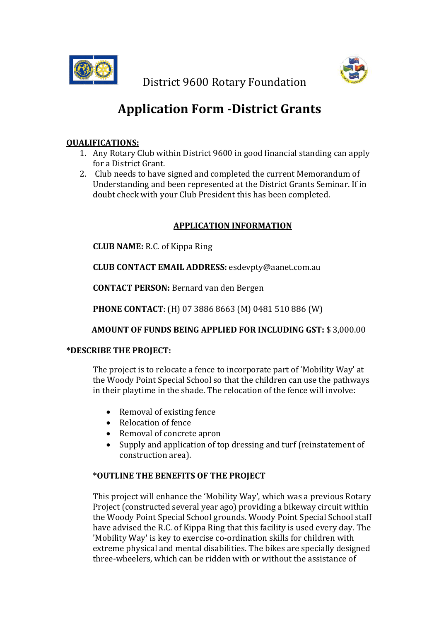

District 9600 Rotary Foundation

# **Application Form -District Grants**

# **QUALIFICATIONS:**

- 1. Any Rotary Club within District 9600 in good financial standing can apply for a District Grant.
- 2. Club needs to have signed and completed the current Memorandum of Understanding and been represented at the District Grants Seminar. If in doubt check with your Club President this has been completed.

# **APPLICATION INFORMATION**

**CLUB NAME:** R.C. of Kippa Ring

**CLUB CONTACT EMAIL ADDRESS:** esdevpty@aanet.com.au

**CONTACT PERSON:** Bernard van den Bergen

**PHONE CONTACT**: (H) 07 3886 8663 (M) 0481 510 886 (W)

## **AMOUNT OF FUNDS BEING APPLIED FOR INCLUDING GST:** \$ 3,000.00

## **\*DESCRIBE THE PROJECT:**

The project is to relocate a fence to incorporate part of 'Mobility Way' at the Woody Point Special School so that the children can use the pathways in their playtime in the shade. The relocation of the fence will involve:

- Removal of existing fence
- Relocation of fence
- Removal of concrete apron
- Supply and application of top dressing and turf (reinstatement of construction area).

# **\*OUTLINE THE BENEFITS OF THE PROJECT**

This project will enhance the 'Mobility Way', which was a previous Rotary Project (constructed several year ago) providing a bikeway circuit within the Woody Point Special School grounds. Woody Point Special School staff have advised the R.C. of Kippa Ring that this facility is used every day. The 'Mobility Way' is key to exercise co-ordination skills for children with extreme physical and mental disabilities. The bikes are specially designed three-wheelers, which can be ridden with or without the assistance of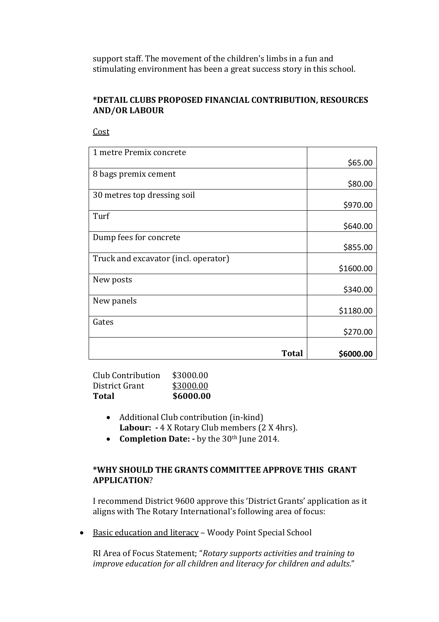support staff. The movement of the children's limbs in a fun and stimulating environment has been a great success story in this school.

## **\*DETAIL CLUBS PROPOSED FINANCIAL CONTRIBUTION, RESOURCES AND/OR LABOUR**

Cost

| 1 metre Premix concrete              |           |
|--------------------------------------|-----------|
|                                      | \$65.00   |
| 8 bags premix cement                 |           |
|                                      | \$80.00   |
| 30 metres top dressing soil          |           |
|                                      | \$970.00  |
| Turf                                 |           |
|                                      | \$640.00  |
| Dump fees for concrete               |           |
|                                      | \$855.00  |
| Truck and excavator (incl. operator) |           |
|                                      | \$1600.00 |
| New posts                            |           |
|                                      | \$340.00  |
| New panels                           |           |
|                                      | \$1180.00 |
| Gates                                |           |
|                                      | \$270.00  |
|                                      |           |
| <b>Total</b>                         | \$6000.00 |

Club Contribution \$3000.00 District Grant \$3000.00 **Total \$6000.00**

- Additional Club contribution (in-kind) **Labour: -** 4 X Rotary Club members (2 X 4hrs).
- **Completion Date: -** by the 30th June 2014.

## **\*WHY SHOULD THE GRANTS COMMITTEE APPROVE THIS GRANT APPLICATION**?

I recommend District 9600 approve this 'District Grants' application as it aligns with The Rotary International's following area of focus:

• Basic education and literacy – Woody Point Special School

RI Area of Focus Statement; "*Rotary supports activities and training to improve education for all children and literacy for children and adults.*"